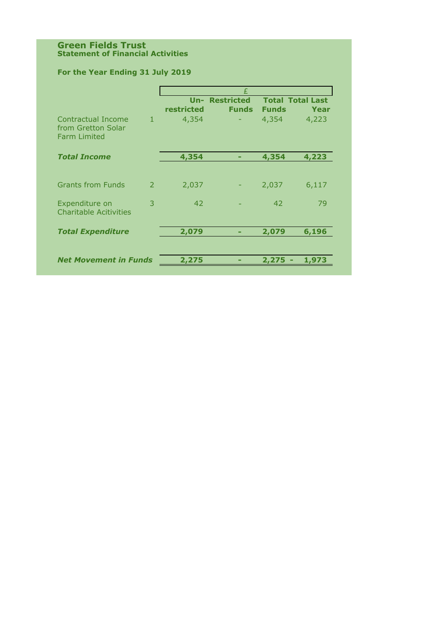#### **Green Fields Trust Statement of Financial Activities**

## **For the Year Ending 31 July 2019**

|                                                                 |               | £          |                                       |              |                                 |  |
|-----------------------------------------------------------------|---------------|------------|---------------------------------------|--------------|---------------------------------|--|
|                                                                 |               | restricted | <b>Un- Restricted</b><br><b>Funds</b> | <b>Funds</b> | <b>Total Total Last</b><br>Year |  |
| Contractual Income<br>from Gretton Solar<br><b>Farm Limited</b> | $\mathbf{1}$  | 4,354      |                                       | 4,354        | 4,223                           |  |
| <b>Total Income</b>                                             |               | 4,354      | -                                     | 4,354        | 4,223                           |  |
|                                                                 |               |            |                                       |              |                                 |  |
| <b>Grants from Funds</b>                                        | $\mathcal{P}$ | 2,037      |                                       | 2,037        | 6,117                           |  |
| Expenditure on<br><b>Charitable Acitivities</b>                 | 3             | 42         |                                       | 42           | 79                              |  |
| <b>Total Expenditure</b>                                        |               | 2,079      | -                                     | 2,079        | 6,196                           |  |
| <b>Net Movement in Funds</b>                                    |               | 2,275      |                                       | 2,275        | 1,973                           |  |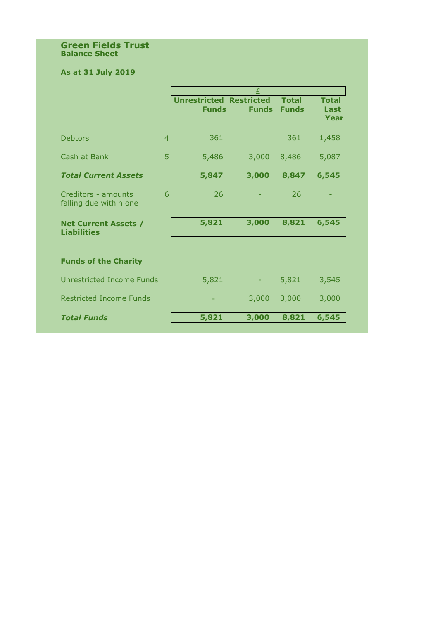#### **Green Fields Trust Balance Sheet**

# **As at 31 July 2019**

|                                                   |                | £                                              |              |                              |                              |  |
|---------------------------------------------------|----------------|------------------------------------------------|--------------|------------------------------|------------------------------|--|
|                                                   |                | <b>Unrestricted Restricted</b><br><b>Funds</b> | <b>Funds</b> | <b>Total</b><br><b>Funds</b> | <b>Total</b><br>Last<br>Year |  |
| <b>Debtors</b>                                    | $\overline{4}$ | 361                                            |              | 361                          | 1,458                        |  |
| Cash at Bank                                      | 5              | 5,486                                          | 3,000        | 8,486                        | 5,087                        |  |
| <b>Total Current Assets</b>                       |                | 5,847                                          | 3,000        | 8,847                        | 6,545                        |  |
| Creditors - amounts<br>falling due within one     | 6              | 26                                             |              | 26                           |                              |  |
| <b>Net Current Assets /</b><br><b>Liabilities</b> |                | 5,821                                          | 3,000        | 8,821                        | 6,545                        |  |
| <b>Funds of the Charity</b>                       |                |                                                |              |                              |                              |  |
| <b>Unrestricted Income Funds</b>                  |                | 5,821                                          |              | 5,821                        | 3,545                        |  |
| <b>Restricted Income Funds</b>                    |                |                                                | 3,000        | 3,000                        | 3,000                        |  |
| <b>Total Funds</b>                                |                | 5,821                                          | 3,000        | 8,821                        | 6,545                        |  |